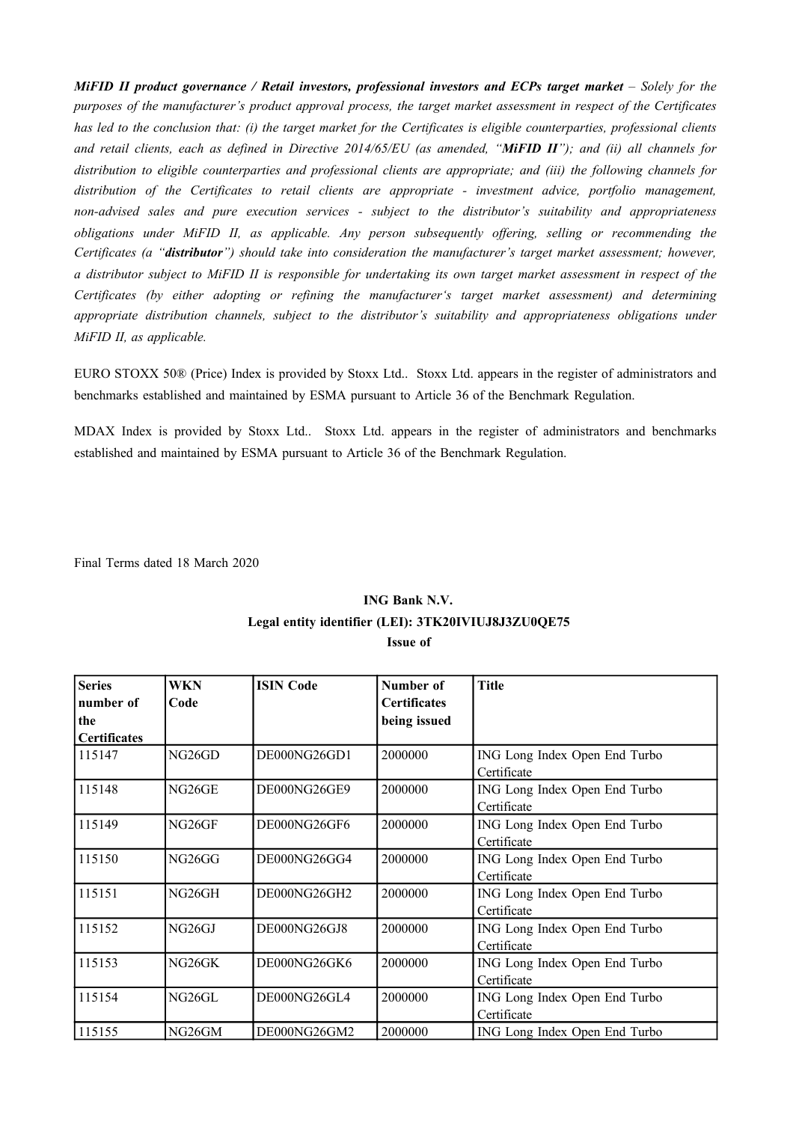MiFID II product governance / Retail investors, professional investors and ECPs target market – Solely for the purposes of the manufacturer's product approval process, the target market assessment in respect of the Certificates has led to the conclusion that: (i) the target market for the Certificates is eligible counterparties, professional clients and retail clients, each as defined in Directive 2014/65/EU (as amended, "MiFID II"); and (ii) all channels for *distribution to eligible counterparties and professional clients are appropriate; and (iii) the following channels for distribution of the Certificates to retail clients are appropriate - investment advice, portfolio management, non-advised sales and pure execution services - subject to the distributor's suitability and appropriateness obligations under MiFID II, as applicable. Any person subsequently offering, selling or recommending the Certificates (a "distributor") should take into consideration the manufacturer's target market assessment; however,* a distributor subject to MiFID II is responsible for undertaking its own target market assessment in respect of the *Certificates (by either adopting or refining the manufacturer's target market assessment) and determining appropriate distribution channels, subject to the distributor's suitability and appropriateness obligations under MiFID II, as applicable.*

EURO STOXX 50® (Price) Index is provided by Stoxx Ltd.. Stoxx Ltd. appears in the register of administrators and benchmarks established and maintained by ESMA pursuant to Article 36 of the Benchmark Regulation.

MDAX Index is provided by Stoxx Ltd.. Stoxx Ltd. appears in the register of administrators and benchmarks established and maintained by ESMA pursuant to Article 36 of the Benchmark Regulation.

Final Terms dated 18 March 2020

## **ING Bank N.V. Legal entity identifier (LEI): 3TK20IVIUJ8J3ZU0QE75 Issue of**

| <b>Series</b><br>number of<br>the | WKN<br>Code        | <b>ISIN Code</b> | Number of<br><b>Certificates</b><br>being issued | <b>Title</b>                  |
|-----------------------------------|--------------------|------------------|--------------------------------------------------|-------------------------------|
| <b>Certificates</b><br>115147     | NG <sub>26GD</sub> | DE000NG26GD1     | 2000000                                          | ING Long Index Open End Turbo |
|                                   |                    |                  |                                                  | Certificate                   |
| 115148                            | NG26GE             | DE000NG26GE9     | 2000000                                          | ING Long Index Open End Turbo |
|                                   |                    |                  |                                                  | Certificate                   |
| 115149                            | NG26GF             | DE000NG26GF6     | 2000000                                          | ING Long Index Open End Turbo |
|                                   |                    |                  |                                                  | Certificate                   |
| 115150                            | NG26GG             | DE000NG26GG4     | 2000000                                          | ING Long Index Open End Turbo |
|                                   |                    |                  |                                                  | Certificate                   |
| 115151                            | NG26GH             | DE000NG26GH2     | 2000000                                          | ING Long Index Open End Turbo |
|                                   |                    |                  |                                                  | Certificate                   |
| 115152                            | NG26GJ             | DE000NG26GJ8     | 2000000                                          | ING Long Index Open End Turbo |
|                                   |                    |                  |                                                  | Certificate                   |
| 115153                            | NG26GK             | DE000NG26GK6     | 2000000                                          | ING Long Index Open End Turbo |
|                                   |                    |                  |                                                  | Certificate                   |
| 115154                            | NG26GL             | DE000NG26GL4     | 2000000                                          | ING Long Index Open End Turbo |
|                                   |                    |                  |                                                  | Certificate                   |
| 115155                            | NG26GM             | DE000NG26GM2     | 2000000                                          | ING Long Index Open End Turbo |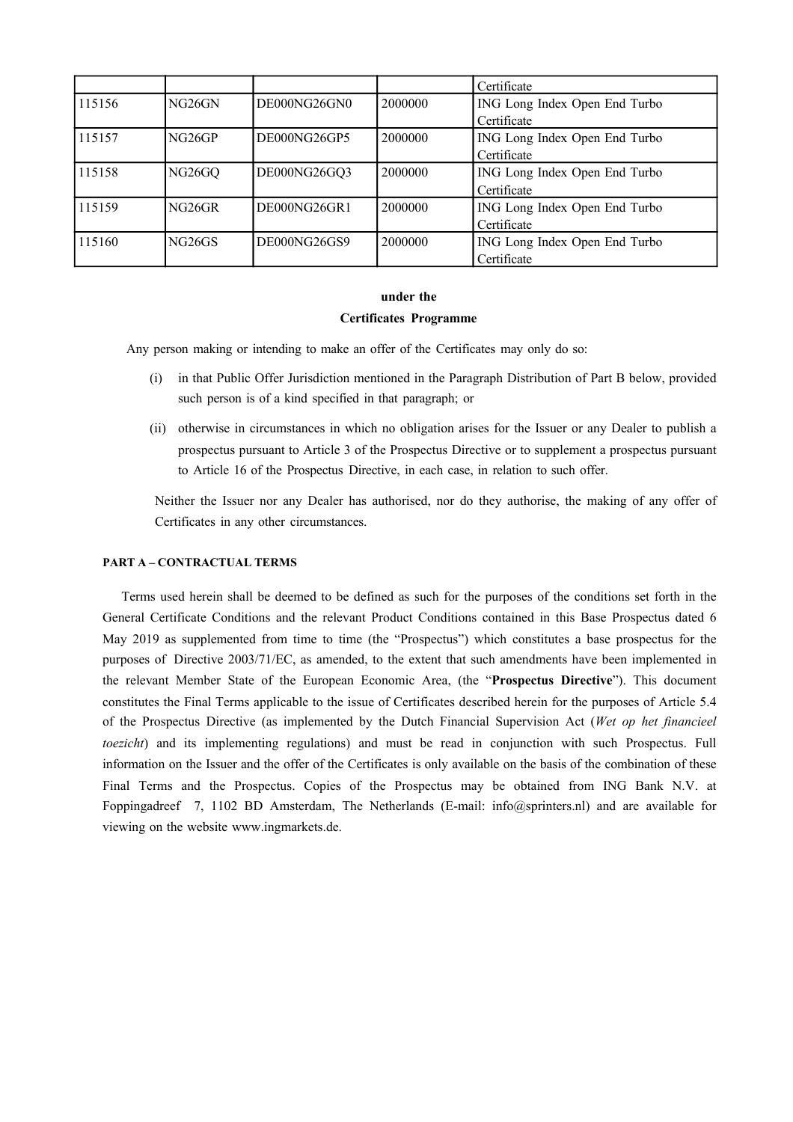|        |                     |              |         | Certificate                   |
|--------|---------------------|--------------|---------|-------------------------------|
| 115156 | NG <sub>26</sub> GN | DE000NG26GN0 | 2000000 | ING Long Index Open End Turbo |
|        |                     |              |         | Certificate                   |
| 115157 | NG26GP              | DE000NG26GP5 | 2000000 | ING Long Index Open End Turbo |
|        |                     |              |         | Certificate                   |
| 115158 | NG <sub>26</sub> GQ | DE000NG26GQ3 | 2000000 | ING Long Index Open End Turbo |
|        |                     |              |         | Certificate                   |
| 115159 | NG <sub>26GR</sub>  | DE000NG26GR1 | 2000000 | ING Long Index Open End Turbo |
|        |                     |              |         | Certificate                   |
| 115160 | <b>NG26GS</b>       | DE000NG26GS9 | 2000000 | ING Long Index Open End Turbo |
|        |                     |              |         | Certificate                   |

#### **under the**

#### **Certificates Programme**

Any person making or intending to make an offer of the Certificates may only do so:

- (i) in that Public Offer Jurisdiction mentioned in the Paragraph Distribution of Part B below, provided such person is of a kind specified in that paragraph; or
- (ii) otherwise in circumstances in which no obligation arises for the Issuer or any Dealer to publish a prospectus pursuant to Article 3 of the Prospectus Directive or to supplement a prospectus pursuant to Article 16 of the Prospectus Directive, in each case, in relation to such offer.

Neither the Issuer nor any Dealer has authorised, nor do they authorise, the making of any offer of Certificates in any other circumstances.

#### **PART A – CONTRACTUAL TERMS**

Terms used herein shall be deemed to be defined as such for the purposes of the conditions set forth in the General Certificate Conditions and the relevant Product Conditions contained in this Base Prospectus dated 6 May 2019 as supplemented from time to time (the "Prospectus") which constitutes a base prospectus for the purposes of Directive 2003/71/EC, as amended, to the extent that such amendments have been implemented in the relevant Member State of the European Economic Area, (the "**Prospectus Directive**"). This document constitutes the Final Terms applicable to the issue of Certificates described herein for the purposes of Article 5.4 of the Prospectus Directive (as implemented by the Dutch Financial Supervision Act (*Wet op het financieel toezicht*) and its implementing regulations) and must be read in conjunction with such Prospectus. Full information on the Issuer and the offer of the Certificates is only available on the basis of the combination of these Final Terms and the Prospectus. Copies of the Prospectus may be obtained from ING Bank N.V. at Foppingadreef 7, 1102 BD Amsterdam, The Netherlands (E-mail: info@sprinters.nl) and are available for viewing on the website www.ingmarkets.de.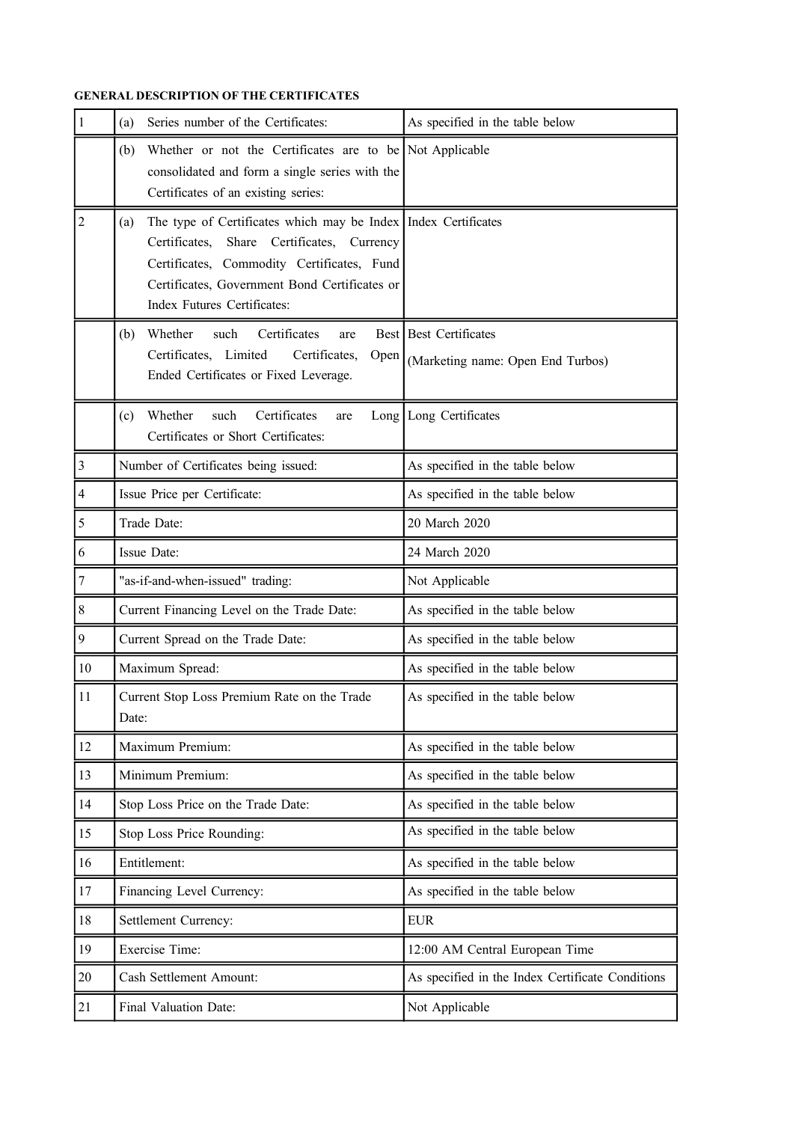## **GENERAL DESCRIPTION OF THE CERTIFICATES**

| $\mathbf{1}$            | Series number of the Certificates:<br>(a)                                                                                                                                                                                                           | As specified in the table below                             |  |  |
|-------------------------|-----------------------------------------------------------------------------------------------------------------------------------------------------------------------------------------------------------------------------------------------------|-------------------------------------------------------------|--|--|
|                         | Whether or not the Certificates are to be Not Applicable<br>(b)<br>consolidated and form a single series with the<br>Certificates of an existing series:                                                                                            |                                                             |  |  |
| $\mathbf 2$             | The type of Certificates which may be Index   Index Certificates<br>(a)<br>Certificates, Share Certificates, Currency<br>Certificates, Commodity Certificates, Fund<br>Certificates, Government Bond Certificates or<br>Index Futures Certificates: |                                                             |  |  |
|                         | Whether<br>Certificates<br>such<br>(b)<br>are<br>Certificates, Limited<br>Certificates,<br>Open  <br>Ended Certificates or Fixed Leverage.                                                                                                          | Best Best Certificates<br>(Marketing name: Open End Turbos) |  |  |
|                         | Certificates<br>Whether<br>such<br>(c)<br>are<br>Certificates or Short Certificates:                                                                                                                                                                | Long Long Certificates                                      |  |  |
| $\overline{\mathbf{3}}$ | Number of Certificates being issued:                                                                                                                                                                                                                | As specified in the table below                             |  |  |
| $\overline{\mathbf{4}}$ | Issue Price per Certificate:                                                                                                                                                                                                                        | As specified in the table below                             |  |  |
| 5                       | Trade Date:                                                                                                                                                                                                                                         | 20 March 2020                                               |  |  |
| 6                       | Issue Date:                                                                                                                                                                                                                                         | 24 March 2020                                               |  |  |
| 7                       | "as-if-and-when-issued" trading:                                                                                                                                                                                                                    | Not Applicable                                              |  |  |
| 8                       | Current Financing Level on the Trade Date:                                                                                                                                                                                                          | As specified in the table below                             |  |  |
| 9                       | Current Spread on the Trade Date:                                                                                                                                                                                                                   | As specified in the table below                             |  |  |
| 10                      | Maximum Spread:                                                                                                                                                                                                                                     | As specified in the table below                             |  |  |
| 11                      | Current Stop Loss Premium Rate on the Trade<br>Date:                                                                                                                                                                                                | As specified in the table below                             |  |  |
| 12                      | Maximum Premium:                                                                                                                                                                                                                                    | As specified in the table below                             |  |  |
| 13                      | Minimum Premium:                                                                                                                                                                                                                                    | As specified in the table below                             |  |  |
| 14                      | Stop Loss Price on the Trade Date:                                                                                                                                                                                                                  | As specified in the table below                             |  |  |
| 15                      | Stop Loss Price Rounding:                                                                                                                                                                                                                           | As specified in the table below                             |  |  |
| 16                      | Entitlement:                                                                                                                                                                                                                                        | As specified in the table below                             |  |  |
| 17                      | Financing Level Currency:                                                                                                                                                                                                                           | As specified in the table below                             |  |  |
| 18                      | Settlement Currency:                                                                                                                                                                                                                                | <b>EUR</b>                                                  |  |  |
| 19                      | Exercise Time:                                                                                                                                                                                                                                      | 12:00 AM Central European Time                              |  |  |
| 20                      | Cash Settlement Amount:                                                                                                                                                                                                                             | As specified in the Index Certificate Conditions            |  |  |
| 21                      | Final Valuation Date:                                                                                                                                                                                                                               | Not Applicable                                              |  |  |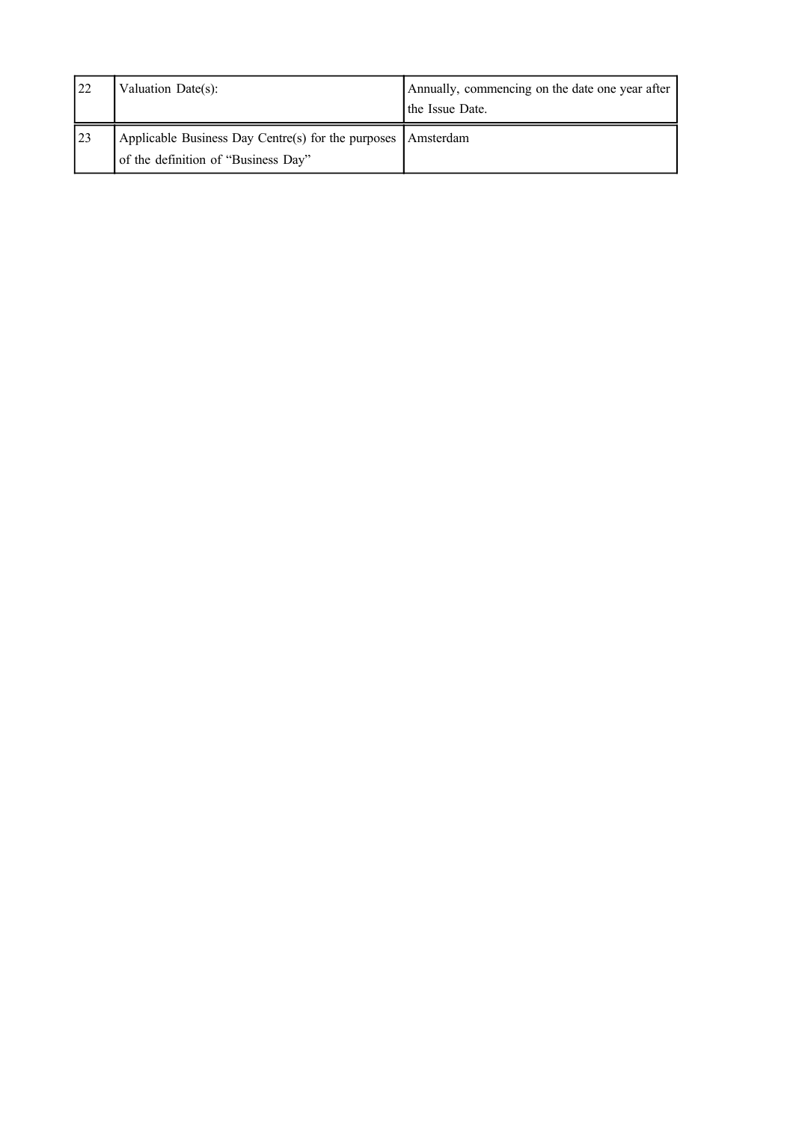| 22        | Valuation Date(s):                                                                                          | Annually, commencing on the date one year after<br>the Issue Date. |
|-----------|-------------------------------------------------------------------------------------------------------------|--------------------------------------------------------------------|
| <b>23</b> | Applicable Business Day Centre(s) for the purposes $\vert$ Amsterdam<br>of the definition of "Business Day" |                                                                    |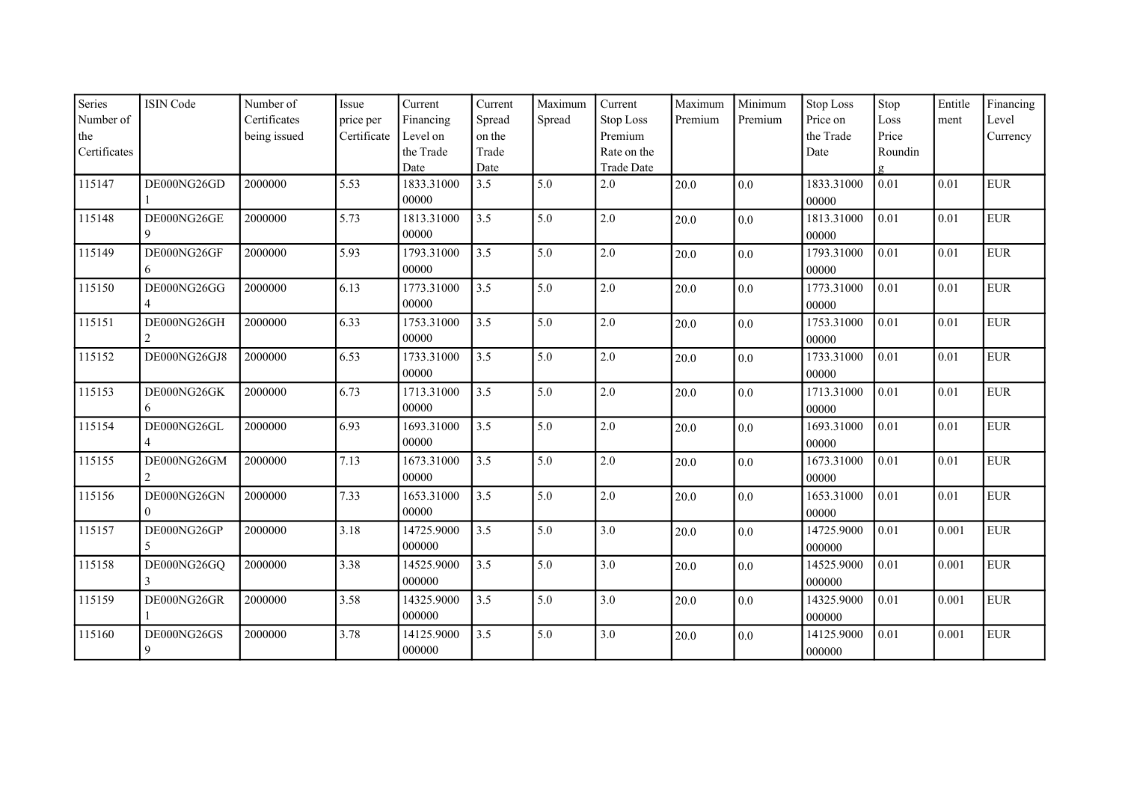| Series<br>Number of | <b>ISIN Code</b> | Number of<br>Certificates | Issue<br>price per | Current<br>Financing | Current<br>Spread | Maximum<br>Spread | Current<br>Stop Loss | Maximum<br>Premium | Minimum<br>Premium | <b>Stop Loss</b><br>Price on | Stop<br>Loss | Entitle<br>ment | Financing<br>Level |
|---------------------|------------------|---------------------------|--------------------|----------------------|-------------------|-------------------|----------------------|--------------------|--------------------|------------------------------|--------------|-----------------|--------------------|
| the                 |                  | being issued              | Certificate        | Level on             | on the            |                   | Premium              |                    |                    | the Trade                    | Price        |                 | Currency           |
| Certificates        |                  |                           |                    | the Trade            | Trade             |                   | Rate on the          |                    |                    | Date                         | Roundin      |                 |                    |
|                     |                  |                           |                    | Date                 | Date              |                   | <b>Trade Date</b>    |                    |                    |                              |              |                 |                    |
| 115147              | DE000NG26GD      | 2000000                   | 5.53               | 1833.31000           | 3.5               | 5.0               | 2.0                  | 20.0               | 0.0                | 1833.31000                   | 0.01         | 0.01            | <b>EUR</b>         |
|                     |                  |                           |                    | 00000                |                   |                   |                      |                    |                    | 00000                        |              |                 |                    |
| 115148              | DE000NG26GE      | 2000000                   | 5.73               | 1813.31000           | 3.5               | 5.0               | 2.0                  | 20.0               | 0.0                | 1813.31000                   | 0.01         | 0.01            | ${\rm EUR}$        |
|                     | 9                |                           |                    | 00000                |                   |                   |                      |                    |                    | 00000                        |              |                 |                    |
| 115149              | DE000NG26GF      | 2000000                   | 5.93               | 1793.31000           | 3.5               | 5.0               | 2.0                  | 20.0               | 0.0                | 1793.31000                   | 0.01         | 0.01            | <b>EUR</b>         |
|                     | 6                |                           |                    | 00000                |                   |                   |                      |                    |                    | 00000                        |              |                 |                    |
| 115150              | DE000NG26GG      | 2000000                   | 6.13               | 1773.31000           | 3.5               | 5.0               | 2.0                  | 20.0               | $0.0\,$            | 1773.31000                   | 0.01         | 0.01            | <b>EUR</b>         |
|                     |                  |                           |                    | 00000                |                   |                   |                      |                    |                    | 00000                        |              |                 |                    |
| 115151              | DE000NG26GH      | 2000000                   | 6.33               | 1753.31000           | 3.5               | 5.0               | 2.0                  | 20.0               | $0.0\,$            | 1753.31000                   | 0.01         | 0.01            | ${\rm EUR}$        |
|                     | 2                |                           |                    | 00000                |                   |                   |                      |                    |                    | 00000                        |              |                 |                    |
| 115152              | DE000NG26GJ8     | 2000000                   | 6.53               | 1733.31000           | 3.5               | 5.0               | 2.0                  | 20.0               | $0.0\,$            | 1733.31000                   | 0.01         | 0.01            | <b>EUR</b>         |
|                     |                  |                           |                    | 00000                |                   |                   |                      |                    |                    | 00000                        |              |                 |                    |
| 115153              | DE000NG26GK      | 2000000                   | 6.73               | 1713.31000           | 3.5               | 5.0               | 2.0                  | 20.0               | $0.0\,$            | 1713.31000                   | 0.01         | 0.01            | ${\rm EUR}$        |
|                     | 6                |                           |                    | 00000                |                   |                   |                      |                    |                    | 00000                        |              |                 |                    |
| 115154              | DE000NG26GL      | 2000000                   | 6.93               | 1693.31000           | 3.5               | 5.0               | 2.0                  | 20.0               | 0.0                | 1693.31000                   | 0.01         | 0.01            | ${\rm EUR}$        |
|                     | 4                |                           |                    | 00000                |                   |                   |                      |                    |                    | 00000                        |              |                 |                    |
| 115155              | DE000NG26GM      | 2000000                   | 7.13               | 1673.31000           | 3.5               | 5.0               | 2.0                  | 20.0               | $0.0\,$            | 1673.31000                   | 0.01         | 0.01            | <b>EUR</b>         |
|                     | $\overline{2}$   |                           |                    | 00000                |                   |                   |                      |                    |                    | 00000                        |              |                 |                    |
| 115156              | DE000NG26GN      | 2000000                   | 7.33               | 1653.31000           | 3.5               | 5.0               | 2.0                  | 20.0               | 0.0                | 1653.31000                   | 0.01         | 0.01            | <b>EUR</b>         |
|                     | 0                |                           |                    | 00000                |                   |                   |                      |                    |                    | 00000                        |              |                 |                    |
| 115157              | DE000NG26GP      | 2000000                   | 3.18               | 14725.9000           | 3.5               | 5.0               | 3.0                  | 20.0               | $0.0\,$            | 14725.9000                   | 0.01         | 0.001           | <b>EUR</b>         |
|                     | 5                |                           |                    | 000000               |                   |                   |                      |                    |                    | 000000                       |              |                 |                    |
| 115158              | DE000NG26GQ      | 2000000                   | 3.38               | 14525.9000           | 3.5               | 5.0               | 3.0                  | 20.0               | $0.0\,$            | 14525.9000                   | 0.01         | 0.001           | ${\rm EUR}$        |
|                     | 3                |                           |                    | 000000               |                   |                   |                      |                    |                    | 000000                       |              |                 |                    |
| 115159              | DE000NG26GR      | 2000000                   | 3.58               | 14325.9000           | 3.5               | 5.0               | 3.0                  | 20.0               | $0.0\,$            | 14325.9000                   | 0.01         | 0.001           | <b>EUR</b>         |
|                     |                  |                           |                    | 000000               |                   |                   |                      |                    |                    | 000000                       |              |                 |                    |
| 115160              | DE000NG26GS      | 2000000                   | 3.78               | 14125.9000           | 3.5               | 5.0               | 3.0                  | 20.0               | 0.0                | 14125.9000                   | 0.01         | 0.001           | <b>EUR</b>         |
|                     | 9                |                           |                    | 000000               |                   |                   |                      |                    |                    | 000000                       |              |                 |                    |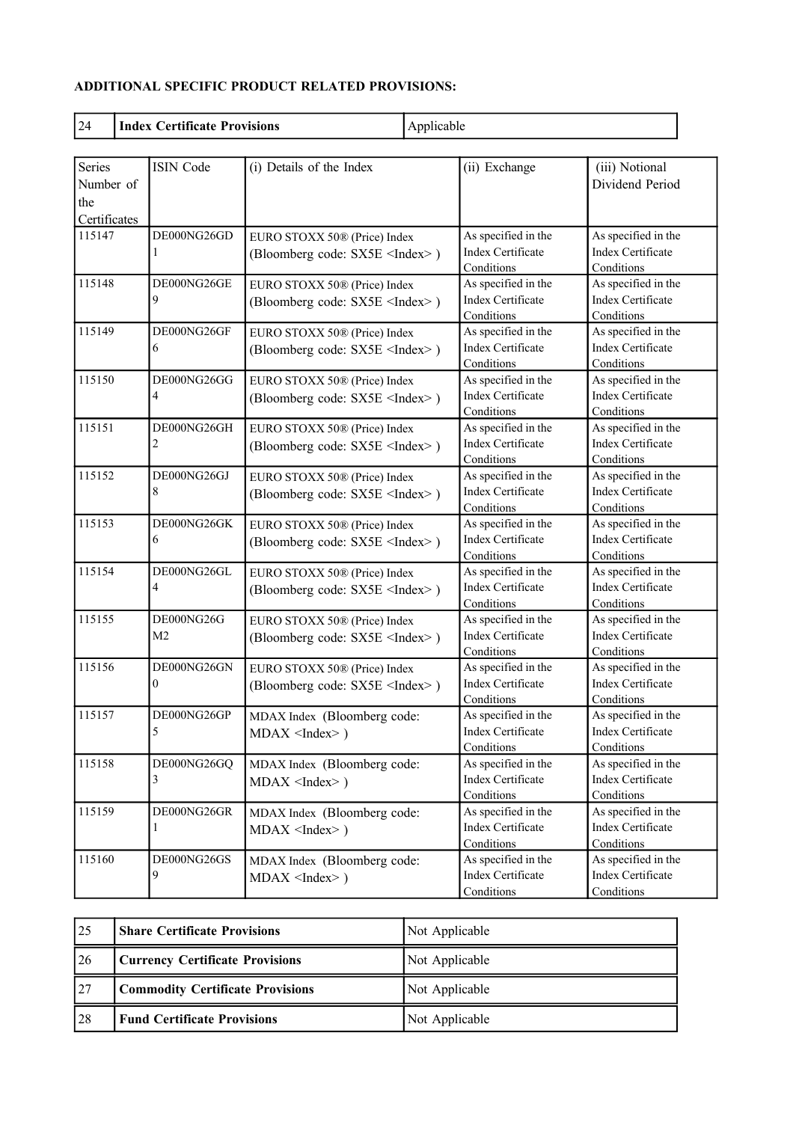# **ADDITIONAL SPECIFIC PRODUCT RELATED PROVISIONS:**

| 24                                                | <b>Index Certificate Provisions</b> |                                                                        | Applicable |                                                               |                                                               |  |
|---------------------------------------------------|-------------------------------------|------------------------------------------------------------------------|------------|---------------------------------------------------------------|---------------------------------------------------------------|--|
| <b>Series</b><br>Number of<br>the<br>Certificates | <b>ISIN Code</b>                    | (i) Details of the Index                                               |            | (ii) Exchange                                                 | (iii) Notional<br>Dividend Period                             |  |
| 115147                                            | DE000NG26GD                         | EURO STOXX 50® (Price) Index<br>(Bloomberg code: SX5E <index>)</index> |            | As specified in the<br>Index Certificate<br>Conditions        | As specified in the<br>Index Certificate<br>Conditions        |  |
| 115148                                            | DE000NG26GE<br>9                    | EURO STOXX 50® (Price) Index<br>(Bloomberg code: SX5E <index>)</index> |            | As specified in the<br>Index Certificate<br>Conditions        | As specified in the<br><b>Index Certificate</b><br>Conditions |  |
| 115149                                            | DE000NG26GF<br>6                    | EURO STOXX 50® (Price) Index<br>(Bloomberg code: SX5E <index>)</index> |            | As specified in the<br>Index Certificate<br>Conditions        | As specified in the<br><b>Index Certificate</b><br>Conditions |  |
| 115150                                            | DE000NG26GG<br>4                    | EURO STOXX 50® (Price) Index<br>(Bloomberg code: SX5E <index>)</index> |            | As specified in the<br>Index Certificate<br>Conditions        | As specified in the<br><b>Index Certificate</b><br>Conditions |  |
| 115151                                            | DE000NG26GH<br>2                    | EURO STOXX 50® (Price) Index<br>(Bloomberg code: SX5E <index>)</index> |            | As specified in the<br>Index Certificate<br>Conditions        | As specified in the<br><b>Index Certificate</b><br>Conditions |  |
| 115152                                            | DE000NG26GJ<br>8                    | EURO STOXX 50® (Price) Index<br>(Bloomberg code: SX5E <index>)</index> |            | As specified in the<br><b>Index Certificate</b><br>Conditions | As specified in the<br><b>Index Certificate</b><br>Conditions |  |
| 115153                                            | DE000NG26GK<br>6                    | EURO STOXX 50® (Price) Index<br>(Bloomberg code: SX5E <index>)</index> |            | As specified in the<br><b>Index Certificate</b><br>Conditions | As specified in the<br><b>Index Certificate</b><br>Conditions |  |
| 115154                                            | DE000NG26GL<br>4                    | EURO STOXX 50® (Price) Index<br>(Bloomberg code: SX5E <index>)</index> |            | As specified in the<br><b>Index Certificate</b><br>Conditions | As specified in the<br><b>Index Certificate</b><br>Conditions |  |
| 115155                                            | DE000NG26G<br>M <sub>2</sub>        | EURO STOXX 50® (Price) Index<br>(Bloomberg code: SX5E <index>)</index> |            | As specified in the<br><b>Index Certificate</b><br>Conditions | As specified in the<br><b>Index Certificate</b><br>Conditions |  |
| 115156                                            | DE000NG26GN<br>0                    | EURO STOXX 50® (Price) Index<br>(Bloomberg code: SX5E <index>)</index> |            | As specified in the<br><b>Index Certificate</b><br>Conditions | As specified in the<br><b>Index Certificate</b><br>Conditions |  |
| 115157                                            | DE000NG26GP<br>5                    | MDAX Index (Bloomberg code:<br>$MDAX$ <index>)</index>                 |            | As specified in the<br><b>Index Certificate</b><br>Conditions | As specified in the<br><b>Index Certificate</b><br>Conditions |  |
| 115158                                            | DE000NG26GQ<br>3                    | MDAX Index (Bloomberg code:<br>$MDAX$ <index>)</index>                 |            | As specified in the<br>Index Certificate<br>Conditions        | As specified in the<br>Index Certificate<br>Conditions        |  |
| 115159                                            | DE000NG26GR                         | MDAX Index (Bloomberg code:<br>$MDAX$ <index>)</index>                 |            | As specified in the<br>Index Certificate<br>Conditions        | As specified in the<br><b>Index Certificate</b><br>Conditions |  |
| 115160                                            | DE000NG26GS<br>9                    | MDAX Index (Bloomberg code:<br>$MDAX$ <index>)</index>                 |            | As specified in the<br>Index Certificate<br>Conditions        | As specified in the<br>Index Certificate<br>Conditions        |  |

| 25 | <b>Share Certificate Provisions</b>     | Not Applicable |
|----|-----------------------------------------|----------------|
| 26 | <b>Currency Certificate Provisions</b>  | Not Applicable |
| 27 | <b>Commodity Certificate Provisions</b> | Not Applicable |
| 28 | <b>Fund Certificate Provisions</b>      | Not Applicable |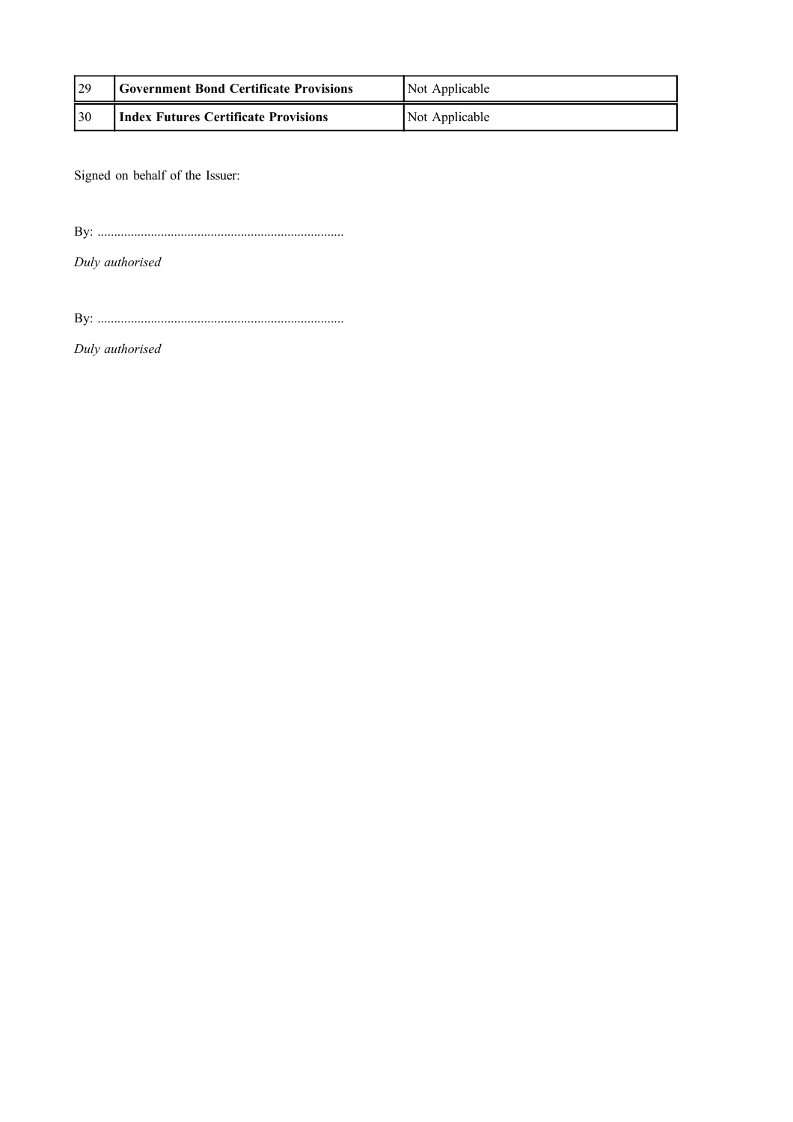| 29              | <b>Government Bond Certificate Provisions</b> | Not Applicable |
|-----------------|-----------------------------------------------|----------------|
| $\overline{30}$ | <b>Index Futures Certificate Provisions</b>   | Not Applicable |

Signed on behalf of the Issuer:

By: ..........................................................................

*Duly authorised*

By: ..........................................................................

*Duly authorised*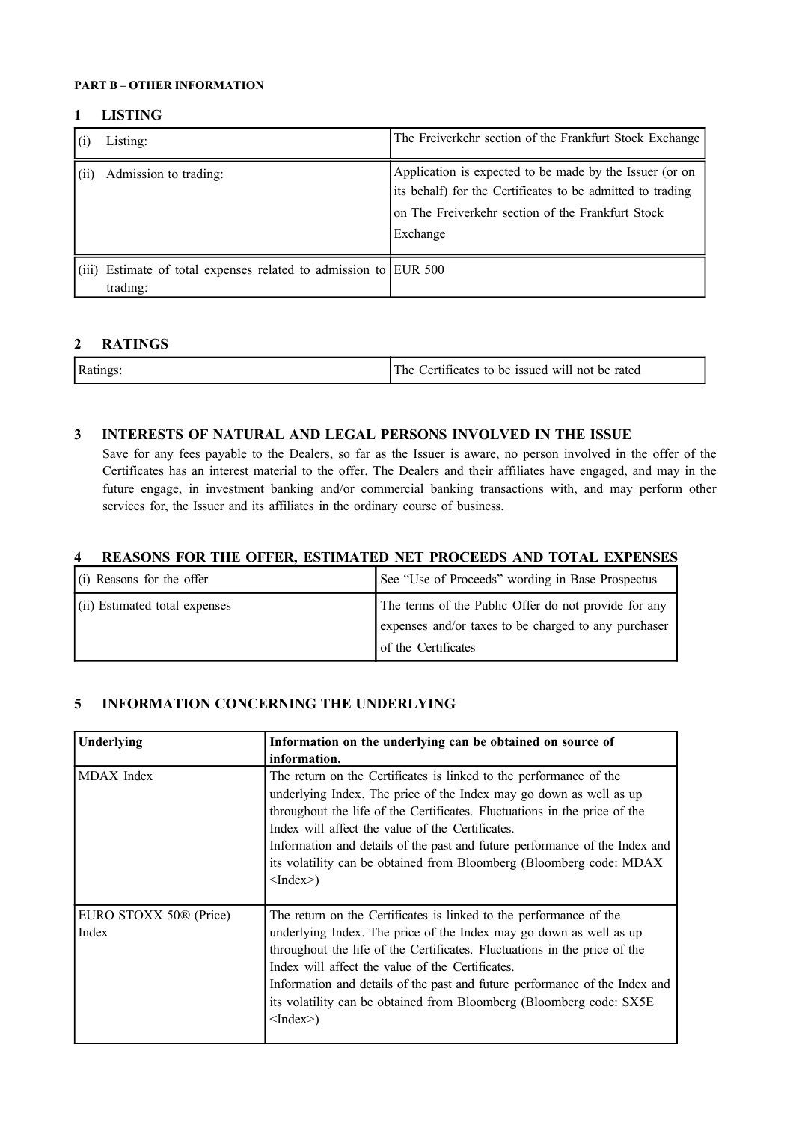#### **PART B – OTHER INFORMATION**

#### **1 LISTING**

|       | Listing:                                                               | The Freiverkehr section of the Frankfurt Stock Exchange                                                                                                                                |
|-------|------------------------------------------------------------------------|----------------------------------------------------------------------------------------------------------------------------------------------------------------------------------------|
| (iii) | Admission to trading:                                                  | Application is expected to be made by the Issuer (or on<br>its behalf) for the Certificates to be admitted to trading<br>on The Freiverkehr section of the Frankfurt Stock<br>Exchange |
| (111) | Estimate of total expenses related to admission to EUR 500<br>trading: |                                                                                                                                                                                        |

# **2 RATINGS**

| $P_{\rm 9a}$ | The<br>will not<br>be issued<br>be rated<br>ertificates<br>tΩ |
|--------------|---------------------------------------------------------------|
|              |                                                               |

# **3 INTERESTS OF NATURAL AND LEGAL PERSONS INVOLVED IN THE ISSUE**

Save for any fees payable to the Dealers, so far as the Issuer is aware, no person involved in the offer of the Certificates has an interest material to the offer. The Dealers and their affiliates have engaged, and may in the future engage, in investment banking and/or commercial banking transactions with, and may perform other services for, the Issuer and its affiliates in the ordinary course of business.

### **4 REASONS FOR THE OFFER, ESTIMATED NET PROCEEDS AND TOTAL EXPENSES**

| $(i)$ Reasons for the offer      | See "Use of Proceeds" wording in Base Prospectus                                                                                    |
|----------------------------------|-------------------------------------------------------------------------------------------------------------------------------------|
| $(iii)$ Estimated total expenses | The terms of the Public Offer do not provide for any<br>expenses and/or taxes to be charged to any purchaser<br>of the Certificates |

### **5 INFORMATION CONCERNING THE UNDERLYING**

| Underlying                                  | Information on the underlying can be obtained on source of<br>information.                                                                                                                                                                                                                                                                                                                                                                                   |
|---------------------------------------------|--------------------------------------------------------------------------------------------------------------------------------------------------------------------------------------------------------------------------------------------------------------------------------------------------------------------------------------------------------------------------------------------------------------------------------------------------------------|
| MDAX Index                                  | The return on the Certificates is linked to the performance of the<br>underlying Index. The price of the Index may go down as well as up<br>throughout the life of the Certificates. Fluctuations in the price of the<br>Index will affect the value of the Certificates.<br>Information and details of the past and future performance of the Index and<br>its volatility can be obtained from Bloomberg (Bloomberg code: MDAX<br>$\langle$ Index $\rangle$ |
| EURO STOXX 50 <sup>®</sup> (Price)<br>Index | The return on the Certificates is linked to the performance of the<br>underlying Index. The price of the Index may go down as well as up<br>throughout the life of the Certificates. Fluctuations in the price of the<br>Index will affect the value of the Certificates.<br>Information and details of the past and future performance of the Index and<br>its volatility can be obtained from Bloomberg (Bloomberg code: SX5E<br>$\langle$ Index $\rangle$ |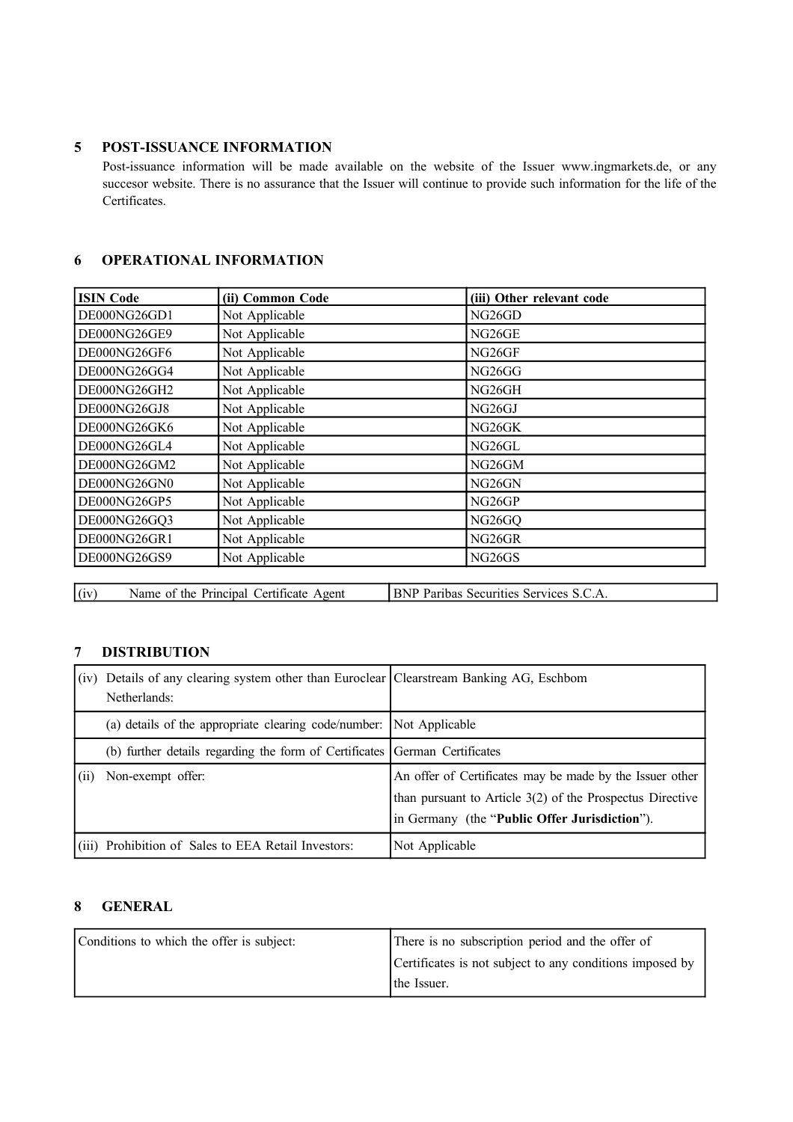### **5 POST-ISSUANCE INFORMATION**

Post-issuance information will be made available on the website of the Issuer www.ingmarkets.de, or any succesor website. There is no assurance that the Issuer will continue to provide such information for the life of the Certificates.

# **6 OPERATIONAL INFORMATION**

| <b>ISIN Code</b> | (ii) Common Code | (iii) Other relevant code       |
|------------------|------------------|---------------------------------|
| DE000NG26GD1     | Not Applicable   | NG26GD                          |
| DE000NG26GE9     | Not Applicable   | NG26GE                          |
| DE000NG26GF6     | Not Applicable   | NG26GF                          |
| DE000NG26GG4     | Not Applicable   | NG26GG                          |
| DE000NG26GH2     | Not Applicable   | NG26GH                          |
| DE000NG26GJ8     | Not Applicable   | NG <sub>26</sub> GJ             |
| DE000NG26GK6     | Not Applicable   | NG26GK                          |
| DE000NG26GL4     | Not Applicable   | NG <sub>26</sub> GL             |
| DE000NG26GM2     | Not Applicable   | NG <sub>26</sub> GM             |
| DE000NG26GN0     | Not Applicable   | NG26GN                          |
| DE000NG26GP5     | Not Applicable   | NG <sub>26GP</sub>              |
| DE000NG26GQ3     | Not Applicable   | NG26GQ                          |
| DE000NG26GR1     | Not Applicable   | NG <sub>26</sub> GR             |
| DE000NG26GS9     | Not Applicable   | NG <sub>26</sub> G <sub>S</sub> |

(iv) Name of the Principal Certificate Agent BNP Paribas Securities Services S.C.A.

## **7 DISTRIBUTION**

|      | (iv) Details of any clearing system other than Euroclear Clearstream Banking AG, Eschbom<br>Netherlands: |                                                                                                                                                                        |
|------|----------------------------------------------------------------------------------------------------------|------------------------------------------------------------------------------------------------------------------------------------------------------------------------|
|      | (a) details of the appropriate clearing code/number: Not Applicable                                      |                                                                                                                                                                        |
|      | (b) further details regarding the form of Certificates German Certificates                               |                                                                                                                                                                        |
| (11) | Non-exempt offer:                                                                                        | An offer of Certificates may be made by the Issuer other<br>than pursuant to Article 3(2) of the Prospectus Directive<br>in Germany (the "Public Offer Jurisdiction"). |
|      | (iii) Prohibition of Sales to EEA Retail Investors:                                                      | Not Applicable                                                                                                                                                         |

## **8 GENERAL**

| Conditions to which the offer is subject: | There is no subscription period and the offer of         |
|-------------------------------------------|----------------------------------------------------------|
|                                           | Certificates is not subject to any conditions imposed by |
|                                           | the Issuer.                                              |